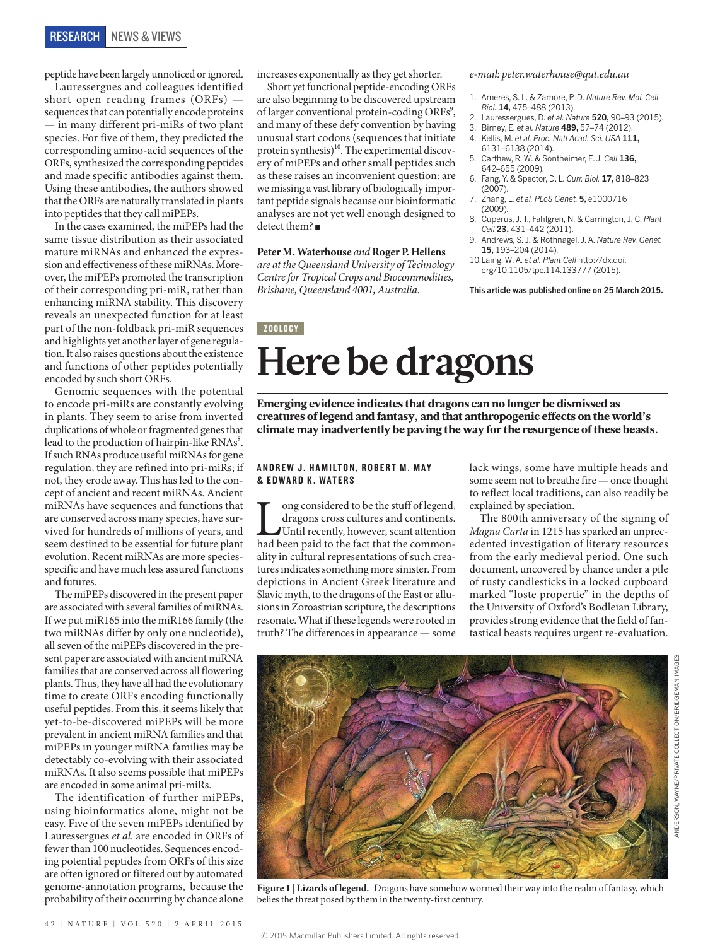peptide have been largely unnoticed or ignored.

Lauressergues and colleagues identified short open reading frames (ORFs) sequences that can potentially encode proteins — in many different pri-miRs of two plant species. For five of them, they predicted the corresponding amino-acid sequences of the ORFs, synthesized the corresponding peptides and made specific antibodies against them. Using these antibodies, the authors showed that the ORFs are naturally translated in plants into peptides that they call miPEPs.

In the cases examined, the miPEPs had the same tissue distribution as their associated mature miRNAs and enhanced the expression and effectiveness of these miRNAs. Moreover, the miPEPs promoted the transcription of their corresponding pri-miR, rather than enhancing miRNA stability. This discovery reveals an unexpected function for at least part of the non-foldback pri-miR sequences and highlights yet another layer of gene regulation. It also raises questions about the existence and functions of other peptides potentially encoded by such short ORFs.

Genomic sequences with the potential to encode pri-miRs are constantly evolving in plants. They seem to arise from inverted duplications of whole or fragmented genes that lead to the production of hairpin-like  $\mathrm{RNAs}^8$ . If such RNAs produce useful miRNAs for gene regulation, they are refined into pri-miRs; if not, they erode away. This has led to the concept of ancient and recent miRNAs. Ancient miRNAs have sequences and functions that are conserved across many species, have survived for hundreds of millions of years, and seem destined to be essential for future plant evolution. Recent miRNAs are more speciesspecific and have much less assured functions and futures.

The miPEPs discovered in the present paper are associated with several families of miRNAs. If we put miR165 into the miR166 family (the two miRNAs differ by only one nucleotide), all seven of the miPEPs discovered in the present paper are associated with ancient miRNA families that are conserved across all flowering plants. Thus, they have all had the evolutionary time to create ORFs encoding functionally useful peptides. From this, it seems likely that yet-to-be-discovered miPEPs will be more prevalent in ancient miRNA families and that miPEPs in younger miRNA families may be detectably co-evolving with their associated miRNAs. It also seems possible that miPEPs are encoded in some animal pri-miRs.

The identification of further miPEPs, using bioinformatics alone, might not be easy. Five of the seven miPEPs identified by Lauressergues *et al.* are encoded in ORFs of fewer than 100 nucleotides. Sequences encoding potential peptides from ORFs of this size are often ignored or filtered out by automated genome-annotation programs, because the probability of their occurring by chance alone

increases exponentially as they get shorter.

Short yet functional peptide-encoding ORFs are also beginning to be discovered upstream of larger conventional protein-coding ORFs<sup>9</sup>, and many of these defy convention by having unusual start codons (sequences that initiate protein synthesis)<sup>10</sup>. The experimental discovery of miPEPs and other small peptides such as these raises an inconvenient question: are we missing a vast library of biologically important peptide signals because our bioinformatic analyses are not yet well enough designed to detect them? ■

**Peter M. Waterhouse** *and* **Roger P. Hellens**  *are at the Queensland University of Technology Centre for Tropical Crops and Biocommodities, Brisbane, Queensland 4001, Australia.*

## *e-mail: peter.waterhouse@qut.edu.au*

- 1. Ameres, S. L. & Zamore, P. D. *Nature Rev. Mol. Cell Biol.* **14,** 475–488 (2013).
- 2. Lauressergues, D. *et al. Nature* **520,** 90–93 (2015).
- 3. Birney, E. *et al. Nature* **489,** 57–74 (2012).
- 4. Kellis, M. *et al. Proc. Natl Acad. Sci. USA* **111,**  6131–6138 (2014).
- 5. Carthew, R. W. & Sontheimer, E. J. *Cell* **136,**  642–655 (2009).
- 6. Fang, Y. & Spector, D. L. *Curr. Biol.* **17,** 818–823 (2007).
- 7. Zhang, L. *et al. PLoS Genet.* **5,** e1000716 (2009).
- 8. Cuperus, J. T., Fahlgren, N. & Carrington, J. C. *Plant Cell* **23,** 431–442 (2011).
- 9. Andrews, S. J. & Rothnagel, J. A. *Nature Rev. Genet.* **15,** 193–204 (2014).
- 10.Laing, W. A. *et al. Plant Cell* http://dx.doi. org/10.1105/tpc.114.133777 (2015).

**This article was published online on 25 March 2015.**

## ZOOLOGY **Here be dragons**

Emerging evidence indicates that dragons can no longer be dismissed as creatures of legend and fantasy, and that anthropogenic effects on the world's climate may inadvertently be paving the way for the resurgence of these beasts.

## ANDREW J. HAMILTON, ROBERT M. MAY & EDWARD K. WATERS

Long considered to be the stuff of legend, dragons cross cultures and continents.<br>
Until recently, however, scant attention<br>
had been paid to the fact that the commondragons cross cultures and continents. Until recently, however, scant attention ality in cultural representations of such creatures indicates something more sinister. From depictions in Ancient Greek literature and Slavic myth, to the dragons of the East or allusions in Zoroastrian scripture, the descriptions resonate. What if these legends were rooted in truth? The differences in appearance — some

lack wings, some have multiple heads and some seem not to breathe fire — once thought to reflect local traditions, can also readily be explained by speciation.

The 800th anniversary of the signing of *Magna Carta* in 1215 has sparked an unprecedented investigation of literary resources from the early medieval period. One such document, uncovered by chance under a pile of rusty candlesticks in a locked cupboard marked "loste propertie" in the depths of the University of Oxford's Bodleian Library, provides strong evidence that the field of fantastical beasts requires urgent re-evaluation.



**Figure 1 | Lizards of legend.** Dragons have somehow wormed their way into the realm of fantasy, which belies the threat posed by them in the twenty-first century.